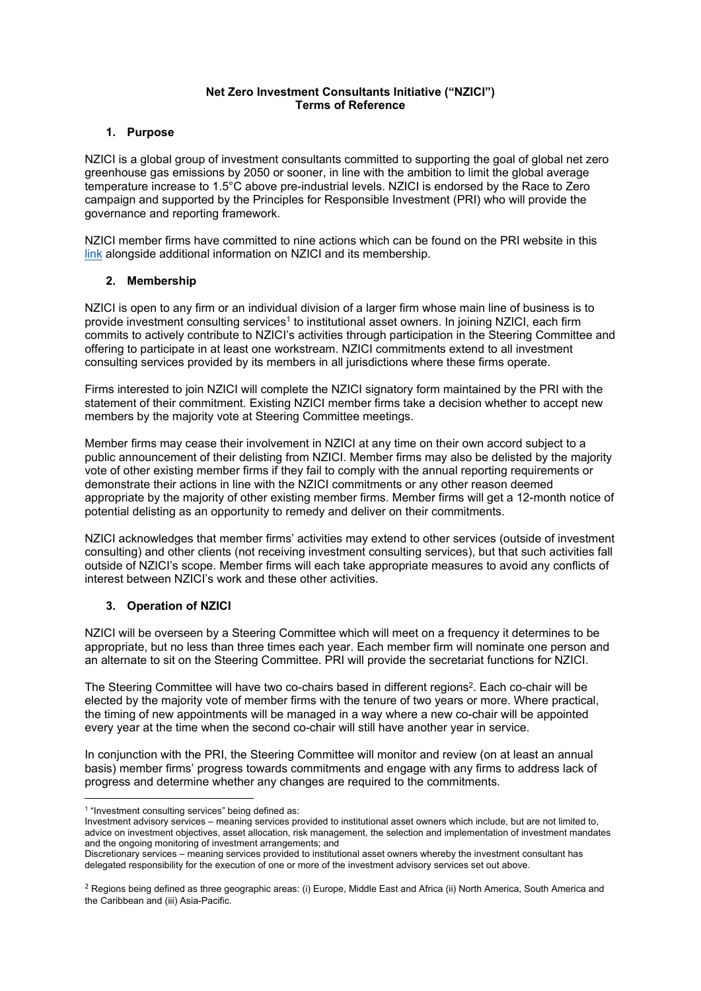#### **Net Zero Investment Consultants Initiative ("NZICI") Terms of Reference**

### **1. Purpose**

NZICI is a global group of investment consultants committed to supporting the goal of global net zero greenhouse gas emissions by 2050 or sooner, in line with the ambition to limit the global average temperature increase to 1.5°C above pre-industrial levels. NZICI is endorsed by the Race to Zero campaign and supported by the Principles for Responsible Investment (PRI) who will provide the governance and reporting framework.

NZICI member firms have committed to nine actions which can be found on the PRI website in this link alongside additional information on NZICI and its membership.

## **2. Membership**

NZICI is open to any firm or an individual division of a larger firm whose main line of business is to provide investment consulting services<sup>1</sup> to institutional asset owners. In joining NZICI, each firm commits to actively contribute to NZICI's activities through participation in the Steering Committee and offering to participate in at least one workstream. NZICI commitments extend to all investment consulting services provided by its members in all jurisdictions where these firms operate.

Firms interested to join NZICI will complete the NZICI signatory form maintained by the PRI with the statement of their commitment. Existing NZICI member firms take a decision whether to accept new members by the majority vote at Steering Committee meetings.

Member firms may cease their involvement in NZICI at any time on their own accord subject to a public announcement of their delisting from NZICI. Member firms may also be delisted by the majority vote of other existing member firms if they fail to comply with the annual reporting requirements or demonstrate their actions in line with the NZICI commitments or any other reason deemed appropriate by the majority of other existing member firms. Member firms will get a 12-month notice of potential delisting as an opportunity to remedy and deliver on their commitments.

NZICI acknowledges that member firms' activities may extend to other services (outside of investment consulting) and other clients (not receiving investment consulting services), but that such activities fall outside of NZICI's scope. Member firms will each take appropriate measures to avoid any conflicts of interest between NZICI's work and these other activities.

# **3. Operation of NZICI**

NZICI will be overseen by a Steering Committee which will meet on a frequency it determines to be appropriate, but no less than three times each year. Each member firm will nominate one person and an alternate to sit on the Steering Committee. PRI will provide the secretariat functions for NZICI.

The Steering Committee will have two co-chairs based in different regions<sup>2</sup>. Each co-chair will be elected by the majority vote of member firms with the tenure of two years or more. Where practical, the timing of new appointments will be managed in a way where a new co-chair will be appointed every year at the time when the second co-chair will still have another year in service.

In conjunction with the PRI, the Steering Committee will monitor and review (on at least an annual basis) member firms' progress towards commitments and engage with any firms to address lack of progress and determine whether any changes are required to the commitments.

<sup>1</sup> "Investment consulting services" being defined as:

Investment advisory services – meaning services provided to institutional asset owners which include, but are not limited to, advice on investment objectives, asset allocation, risk management, the selection and implementation of investment mandates and the ongoing monitoring of investment arrangements; and

Discretionary services – meaning services provided to institutional asset owners whereby the investment consultant has delegated responsibility for the execution of one or more of the investment advisory services set out above.

<sup>&</sup>lt;sup>2</sup> Regions being defined as three geographic areas: (i) Europe, Middle East and Africa (ii) North America, South America and the Caribbean and (iii) Asia-Pacific.